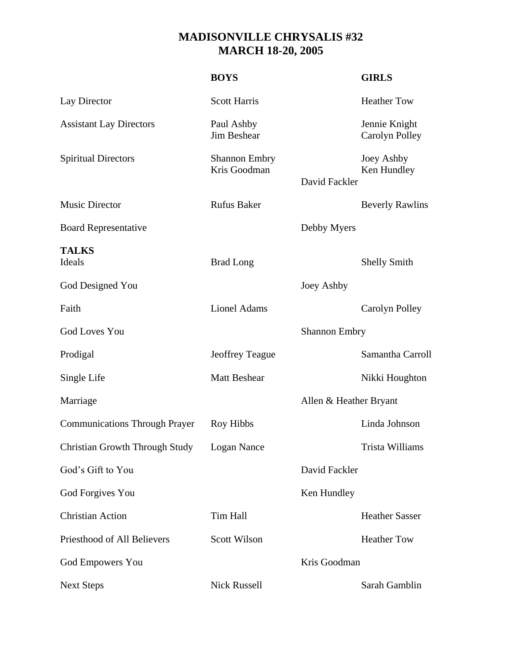## **MADISONVILLE CHRYSALIS #32 MARCH 18-20, 2005**

|                                            | <b>BOYS</b>                          |                        | <b>GIRLS</b>                    |
|--------------------------------------------|--------------------------------------|------------------------|---------------------------------|
| Lay Director                               | <b>Scott Harris</b>                  |                        | <b>Heather Tow</b>              |
| <b>Assistant Lay Directors</b>             | Paul Ashby<br>Jim Beshear            |                        | Jennie Knight<br>Carolyn Polley |
| <b>Spiritual Directors</b>                 | <b>Shannon Embry</b><br>Kris Goodman | David Fackler          | Joey Ashby<br>Ken Hundley       |
| <b>Music Director</b>                      | <b>Rufus Baker</b>                   |                        | <b>Beverly Rawlins</b>          |
| <b>Board Representative</b>                |                                      | Debby Myers            |                                 |
| <b>TALKS</b><br>Ideals                     | <b>Brad Long</b>                     |                        | <b>Shelly Smith</b>             |
| God Designed You                           |                                      | Joey Ashby             |                                 |
| Faith                                      | <b>Lionel Adams</b>                  |                        | Carolyn Polley                  |
| God Loves You                              |                                      | <b>Shannon Embry</b>   |                                 |
| Prodigal                                   | <b>Jeoffrey Teague</b>               |                        | Samantha Carroll                |
| Single Life                                | <b>Matt Beshear</b>                  |                        | Nikki Houghton                  |
| Marriage                                   |                                      | Allen & Heather Bryant |                                 |
| <b>Communications Through Prayer</b>       | <b>Roy Hibbs</b>                     |                        | Linda Johnson                   |
| Christian Growth Through Study Logan Nance |                                      |                        | Trista Williams                 |
| God's Gift to You                          |                                      | David Fackler          |                                 |
| God Forgives You                           |                                      | Ken Hundley            |                                 |
| <b>Christian Action</b>                    | Tim Hall                             |                        | <b>Heather Sasser</b>           |
| Priesthood of All Believers                | <b>Scott Wilson</b>                  |                        | <b>Heather Tow</b>              |
| <b>God Empowers You</b>                    |                                      | Kris Goodman           |                                 |
| <b>Next Steps</b>                          | <b>Nick Russell</b>                  |                        | Sarah Gamblin                   |
|                                            |                                      |                        |                                 |